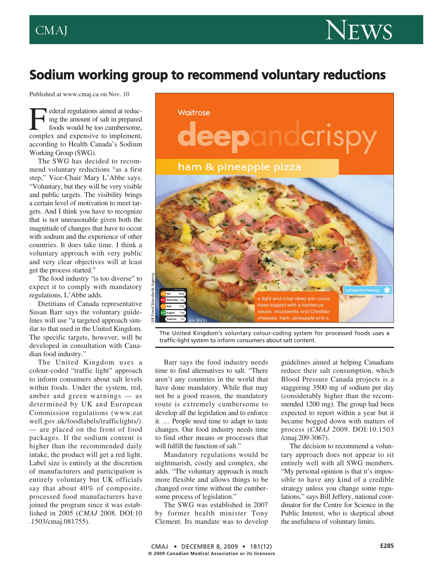

## **Sodium working group to recommend voluntary reductions**

Published at www.cmaj.ca on Nov. 10

Example 1 are determined at reducing the amount of salt in prepared<br>foods would be too cumbersome,<br>complex and expensive to implement ing the amount of salt in prepared foods would be too cumbersome, complex and expensive to implement, according to Health Canada's Sodium Working Group (SWG).

The SWG has decided to recommend voluntary reductions "as a first step," Vice-Chair Mary L'Abbe says. "Voluntary, but they will be very visible and public targets. The visibility brings a certain level of motivation to meet targets. And I think you have to recognize that is not unreasonable given both the magnitude of changes that have to occur with sodium and the experience of other countries. It does take time. I think a voluntary approach with very public and very clear objectives will at least get the process started."

The food industry "is too diverse" to expect it to comply with mandatory regulations, L'Abbe adds.

Dietitians of Canada representative Susan Barr says the voluntary guidelines will use "a targeted approach similar to that used in the United Kingdom. The specific targets, however, will be developed in consultation with Canadian food industry."

The United Kingdom uses a colour-coded "traffic light" approach to inform consumers about salt levels within foods. Under the system, red, amber and green warnings — as determined by UK and European Commission regulations (www.eat well.gov.uk /foodlabels /traffic lights/) — are placed on the front of food packages. If the sodium content is higher than the recommended daily intake, the product will get a red light. Label size is entirely at the discretion of manufacturers and participation is entirely voluntary but UK officials say that about 40% of composite, processed food manufacturers have joined the program since it was established in 2005 (*CMAJ* 2008 . DOI:10 .1503/cmaj .081755).



The United Kingdom's voluntary colour-coding system for processed foods uses a traffic-light system to inform consumers about salt content.

Barr says the food industry needs time to find alternatives to salt. "There aren't any countries in the world that have done mandatory. While that may not be a good reason, the mandatory route is extremely cumbersome to develop all the legislation and to enforce it. … People need time to adapt to taste changes. Our food industry needs time to find other means or processes that will fulfill the function of salt."

Mandatory regulations would be nightmarish, costly and complex, she adds. "The voluntary approach is much more flexible and allows things to be changed over time without the cumbersome process of legislation."

The SWG was established in 2007 by former health minister Tony Clement. Its mandate was to develop guidelines aimed at helping Canadians reduce their salt consumption, which Blood Pressure Canada projects is a staggering 3500 mg of sodium per day (considerably higher than the recommended 1200 mg). The group had been expected to report within a year but it became bogged down with matters of process (*CMAJ* 2009. DOI:10.1503 /cmaj.209-3067).

The decision to recommend a voluntary approach does not appear to sit entirely well with all SWG members. "My personal opinion is that it's impossible to have any kind of a credible strategy unless you change some regulations," says Bill Jeffery, national coordinator for the Centre for Science in the Public Interest, who is skeptical about the usefulness of voluntary limits.